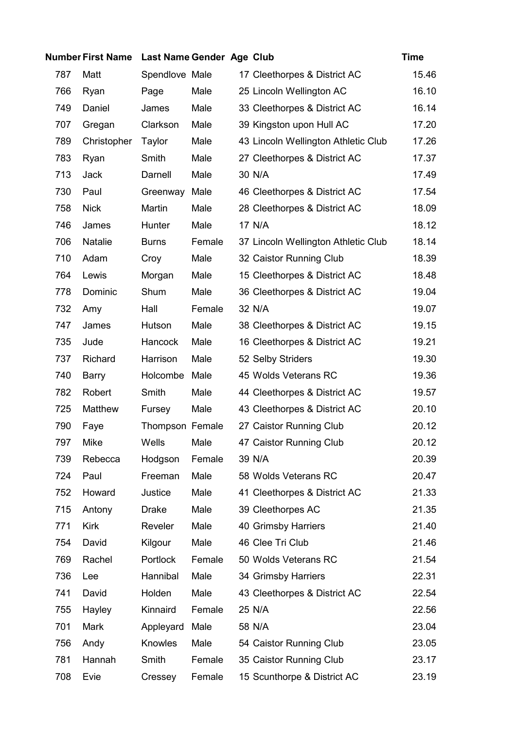|     | <b>Number First Name</b> | Last Name Gender Age Club |        |                                     | <b>Time</b> |
|-----|--------------------------|---------------------------|--------|-------------------------------------|-------------|
| 787 | Matt                     | Spendlove Male            |        | 17 Cleethorpes & District AC        | 15.46       |
| 766 | Ryan                     | Page                      | Male   | 25 Lincoln Wellington AC            | 16.10       |
| 749 | Daniel                   | James                     | Male   | 33 Cleethorpes & District AC        | 16.14       |
| 707 | Gregan                   | Clarkson                  | Male   | 39 Kingston upon Hull AC            | 17.20       |
| 789 | Christopher              | Taylor                    | Male   | 43 Lincoln Wellington Athletic Club | 17.26       |
| 783 | Ryan                     | Smith                     | Male   | 27 Cleethorpes & District AC        | 17.37       |
| 713 | <b>Jack</b>              | Darnell                   | Male   | 30 N/A                              | 17.49       |
| 730 | Paul                     | Greenway                  | Male   | 46 Cleethorpes & District AC        | 17.54       |
| 758 | <b>Nick</b>              | Martin                    | Male   | 28 Cleethorpes & District AC        | 18.09       |
| 746 | James                    | Hunter                    | Male   | 17 N/A                              | 18.12       |
| 706 | Natalie                  | <b>Burns</b>              | Female | 37 Lincoln Wellington Athletic Club | 18.14       |
| 710 | Adam                     | Croy                      | Male   | 32 Caistor Running Club             | 18.39       |
| 764 | Lewis                    | Morgan                    | Male   | 15 Cleethorpes & District AC        | 18.48       |
| 778 | Dominic                  | Shum                      | Male   | 36 Cleethorpes & District AC        | 19.04       |
| 732 | Amy                      | Hall                      | Female | 32 N/A                              | 19.07       |
| 747 | James                    | Hutson                    | Male   | 38 Cleethorpes & District AC        | 19.15       |
| 735 | Jude                     | Hancock                   | Male   | 16 Cleethorpes & District AC        | 19.21       |
| 737 | Richard                  | Harrison                  | Male   | 52 Selby Striders                   | 19.30       |
| 740 | Barry                    | Holcombe                  | Male   | 45 Wolds Veterans RC                | 19.36       |
| 782 | Robert                   | Smith                     | Male   | 44 Cleethorpes & District AC        | 19.57       |
| 725 | Matthew                  | Fursey                    | Male   | 43 Cleethorpes & District AC        | 20.10       |
| 790 | Faye                     | Thompson Female           |        | 27 Caistor Running Club             | 20.12       |
| 797 | Mike                     | Wells                     | Male   | 47 Caistor Running Club             | 20.12       |
| 739 | Rebecca                  | Hodgson                   | Female | 39 N/A                              | 20.39       |
| 724 | Paul                     | Freeman                   | Male   | 58 Wolds Veterans RC                | 20.47       |
| 752 | Howard                   | Justice                   | Male   | 41 Cleethorpes & District AC        | 21.33       |
| 715 | Antony                   | <b>Drake</b>              | Male   | 39 Cleethorpes AC                   | 21.35       |
| 771 | <b>Kirk</b>              | Reveler                   | Male   | 40 Grimsby Harriers                 | 21.40       |
| 754 | David                    | Kilgour                   | Male   | 46 Clee Tri Club                    | 21.46       |
| 769 | Rachel                   | Portlock                  | Female | 50 Wolds Veterans RC                | 21.54       |
| 736 | Lee                      | Hannibal                  | Male   | 34 Grimsby Harriers                 | 22.31       |
| 741 | David                    | Holden                    | Male   | 43 Cleethorpes & District AC        | 22.54       |
| 755 | Hayley                   | Kinnaird                  | Female | 25 N/A                              | 22.56       |
| 701 | Mark                     | Appleyard                 | Male   | 58 N/A                              | 23.04       |
| 756 | Andy                     | <b>Knowles</b>            | Male   | 54 Caistor Running Club             | 23.05       |
| 781 | Hannah                   | Smith                     | Female | 35 Caistor Running Club             | 23.17       |
| 708 | Evie                     | Cressey                   | Female | 15 Scunthorpe & District AC         | 23.19       |